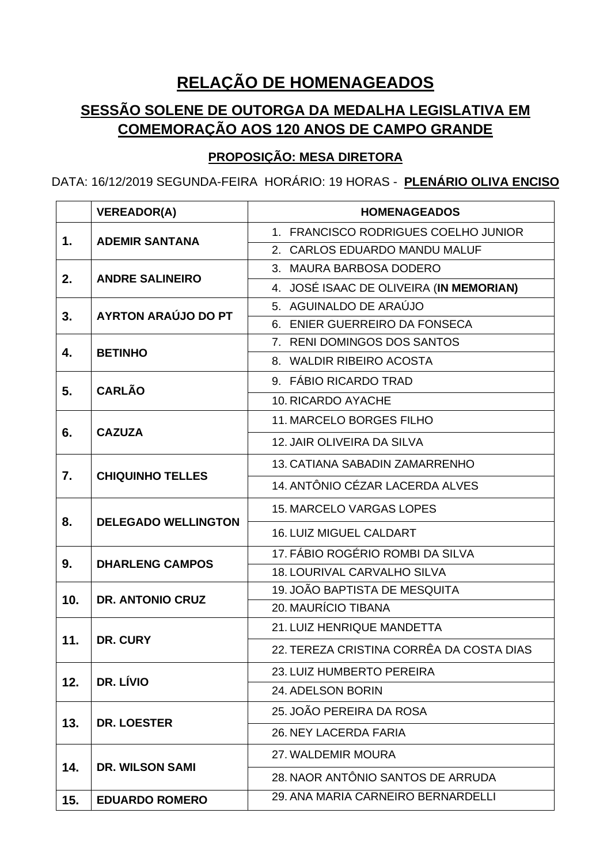## **RELAÇÃO DE HOMENAGEADOS**

## **SESSÃO SOLENE DE OUTORGA DA MEDALHA LEGISLATIVA EM COMEMORAÇÃO AOS 120 ANOS DE CAMPO GRANDE**

## **PROPOSIÇÃO: MESA DIRETORA**

DATA: 16/12/2019 SEGUNDA-FEIRA HORÁRIO: 19 HORAS - **PLENÁRIO OLIVA ENCISO**

|     | <b>VEREADOR(A)</b>         | <b>HOMENAGEADOS</b>                      |
|-----|----------------------------|------------------------------------------|
| 1.  | <b>ADEMIR SANTANA</b>      | 1. FRANCISCO RODRIGUES COELHO JUNIOR     |
|     |                            | 2. CARLOS EDUARDO MANDU MALUF            |
| 2.  | <b>ANDRE SALINEIRO</b>     | 3. MAURA BARBOSA DODERO                  |
|     |                            | 4. JOSÉ ISAAC DE OLIVEIRA (IN MEMORIAN)  |
| 3.  | AYRTON ARAÚJO DO PT        | 5. AGUINALDO DE ARAÚJO                   |
|     |                            | 6. ENIER GUERREIRO DA FONSECA            |
| 4.  | <b>BETINHO</b>             | 7. RENI DOMINGOS DOS SANTOS              |
|     |                            | 8. WALDIR RIBEIRO ACOSTA                 |
| 5.  | <b>CARLÃO</b>              | 9. FÁBIO RICARDO TRAD                    |
|     |                            | 10. RICARDO AYACHE                       |
| 6.  | <b>CAZUZA</b>              | <b>11. MARCELO BORGES FILHO</b>          |
|     |                            | 12. JAIR OLIVEIRA DA SILVA               |
|     | <b>CHIQUINHO TELLES</b>    | 13. CATIANA SABADIN ZAMARRENHO           |
| 7.  |                            | 14. ANTÔNIO CÉZAR LACERDA ALVES          |
|     | <b>DELEGADO WELLINGTON</b> | <b>15. MARCELO VARGAS LOPES</b>          |
| 8.  |                            | <b>16. LUIZ MIGUEL CALDART</b>           |
|     | <b>DHARLENG CAMPOS</b>     | 17. FÁBIO ROGÉRIO ROMBI DA SILVA         |
| 9.  |                            | 18. LOURIVAL CARVALHO SILVA              |
| 10. | <b>DR. ANTONIO CRUZ</b>    | 19. JOÃO BAPTISTA DE MESQUITA            |
|     |                            | 20. MAURÍCIO TIBANA                      |
| 11. | DR. CURY                   | 21. LUIZ HENRIQUE MANDETTA               |
|     |                            | 22. TEREZA CRISTINA CORRÊA DA COSTA DIAS |
|     | DR. LÍVIO                  | 23. LUIZ HUMBERTO PEREIRA                |
| 12. |                            | 24. ADELSON BORIN                        |
|     | <b>DR. LOESTER</b>         | 25. JOÃO PEREIRA DA ROSA                 |
| 13. |                            | 26. NEY LACERDA FARIA                    |
| 14. | <b>DR. WILSON SAMI</b>     | 27. WALDEMIR MOURA                       |
|     |                            | 28. NAOR ANTÔNIO SANTOS DE ARRUDA        |
| 15. | <b>EDUARDO ROMERO</b>      | 29. ANA MARIA CARNEIRO BERNARDELLI       |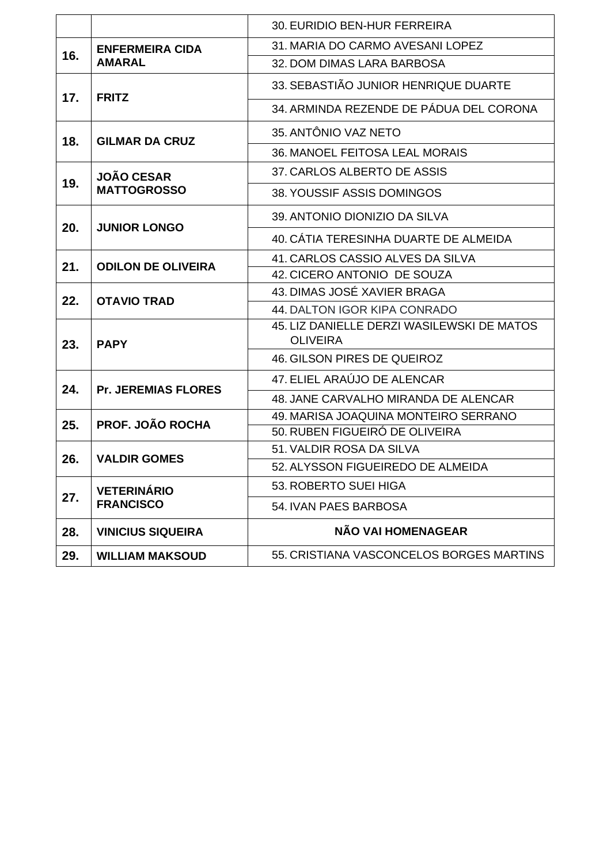|            |                                           | 30. EURIDIO BEN-HUR FERREIRA                                  |
|------------|-------------------------------------------|---------------------------------------------------------------|
|            | <b>ENFERMEIRA CIDA</b>                    | 31. MARIA DO CARMO AVESANI LOPEZ                              |
| 16.<br>17. | <b>AMARAL</b><br><b>FRITZ</b>             | 32. DOM DIMAS LARA BARBOSA                                    |
|            |                                           | 33. SEBASTIÃO JUNIOR HENRIQUE DUARTE                          |
| 18.        | <b>GILMAR DA CRUZ</b>                     | 34. ARMINDA REZENDE DE PÁDUA DEL CORONA                       |
|            |                                           | 35. ANTÔNIO VAZ NETO                                          |
|            | <b>JOÃO CESAR</b>                         | 36. MANOEL FEITOSA LEAL MORAIS                                |
|            |                                           | 37. CARLOS ALBERTO DE ASSIS                                   |
| 19.<br>20. | <b>MATTOGROSSO</b><br><b>JUNIOR LONGO</b> | 38. YOUSSIF ASSIS DOMINGOS                                    |
|            |                                           | 39. ANTONIO DIONIZIO DA SILVA                                 |
|            | <b>ODILON DE OLIVEIRA</b>                 | 40. CÁTIA TERESINHA DUARTE DE ALMEIDA                         |
| 21.        |                                           | 41. CARLOS CASSIO ALVES DA SILVA                              |
|            | <b>OTAVIO TRAD</b>                        | 42. CICERO ANTONIO DE SOUZA                                   |
| 22.        |                                           | 43. DIMAS JOSÉ XAVIER BRAGA                                   |
|            | <b>PAPY</b>                               | 44. DALTON IGOR KIPA CONRADO                                  |
| 23.        |                                           | 45. LIZ DANIELLE DERZI WASILEWSKI DE MATOS<br><b>OLIVEIRA</b> |
|            |                                           | 46. GILSON PIRES DE QUEIROZ                                   |
| 24.        |                                           | 47. ELIEL ARAÚJO DE ALENCAR                                   |
|            | <b>Pr. JEREMIAS FLORES</b>                | 48. JANE CARVALHO MIRANDA DE ALENCAR                          |
| 25.        | <b>PROF. JOÃO ROCHA</b>                   | 49. MARISA JOAQUINA MONTEIRO SERRANO                          |
|            | <b>VALDIR GOMES</b>                       | 50. RUBEN FIGUEIRÓ DE OLIVEIRA                                |
| 26.        |                                           | 51. VALDIR ROSA DA SILVA                                      |
|            | <b>VETERINÁRIO</b>                        | 52. ALYSSON FIGUEIREDO DE ALMEIDA                             |
|            |                                           | 53. ROBERTO SUEI HIGA                                         |
| 27.        | <b>FRANCISCO</b>                          | 54. IVAN PAES BARBOSA                                         |
| 28.        | <b>VINICIUS SIQUEIRA</b>                  | NÃO VAI HOMENAGEAR                                            |
| 29.        | <b>WILLIAM MAKSOUD</b>                    | 55. CRISTIANA VASCONCELOS BORGES MARTINS                      |